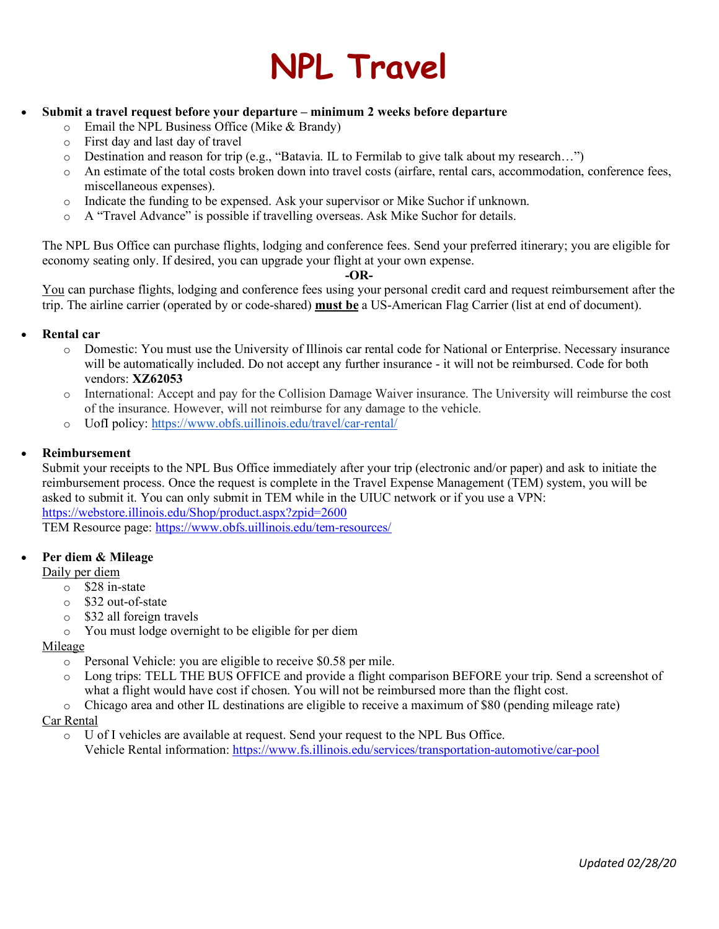# **NPL Travel**

### • **Submit a travel request before your departure – minimum 2 weeks before departure**

- o Email the NPL Business Office (Mike & Brandy)
- o First day and last day of travel
- $\circ$  Destination and reason for trip (e.g., "Batavia. IL to Fermilab to give talk about my research...")
- o An estimate of the total costs broken down into travel costs (airfare, rental cars, accommodation, conference fees, miscellaneous expenses).
- o Indicate the funding to be expensed. Ask your supervisor or Mike Suchor if unknown.
- o A "Travel Advance" is possible if travelling overseas. Ask Mike Suchor for details.

The NPL Bus Office can purchase flights, lodging and conference fees. Send your preferred itinerary; you are eligible for economy seating only. If desired, you can upgrade your flight at your own expense.

#### **-OR-**

You can purchase flights, lodging and conference fees using your personal credit card and request reimbursement after the trip. The airline carrier (operated by or code-shared) **must be** a US-American Flag Carrier (list at end of document).

#### • **Rental car**

- o Domestic: You must use the University of Illinois car rental code for National or Enterprise. Necessary insurance will be automatically included. Do not accept any further insurance - it will not be reimbursed. Code for both vendors: **XZ62053**
- o International: Accept and pay for the Collision Damage Waiver insurance. The University will reimburse the cost of the insurance. However, will not reimburse for any damage to the vehicle.
- o UofI policy:<https://www.obfs.uillinois.edu/travel/car-rental/>

#### • **Reimbursement**

Submit your receipts to the NPL Bus Office immediately after your trip (electronic and/or paper) and ask to initiate the reimbursement process. Once the request is complete in the Travel Expense Management (TEM) system, you will be asked to submit it. You can only submit in TEM while in the UIUC network or if you use a VPN: <https://webstore.illinois.edu/Shop/product.aspx?zpid=2600> TEM Resource page:<https://www.obfs.uillinois.edu/tem-resources/>

#### • **Per diem & Mileage**

#### Daily per diem

- o \$28 in-state
- o \$32 out-of-state
- o \$32 all foreign travels
- o You must lodge overnight to be eligible for per diem

#### Mileage

- o Personal Vehicle: you are eligible to receive \$0.58 per mile.
- o Long trips: TELL THE BUS OFFICE and provide a flight comparison BEFORE your trip. Send a screenshot of what a flight would have cost if chosen. You will not be reimbursed more than the flight cost.
- o Chicago area and other IL destinations are eligible to receive a maximum of \$80 (pending mileage rate)

#### Car Rental

o U of I vehicles are available at request. Send your request to the NPL Bus Office. Vehicle Rental information:<https://www.fs.illinois.edu/services/transportation-automotive/car-pool>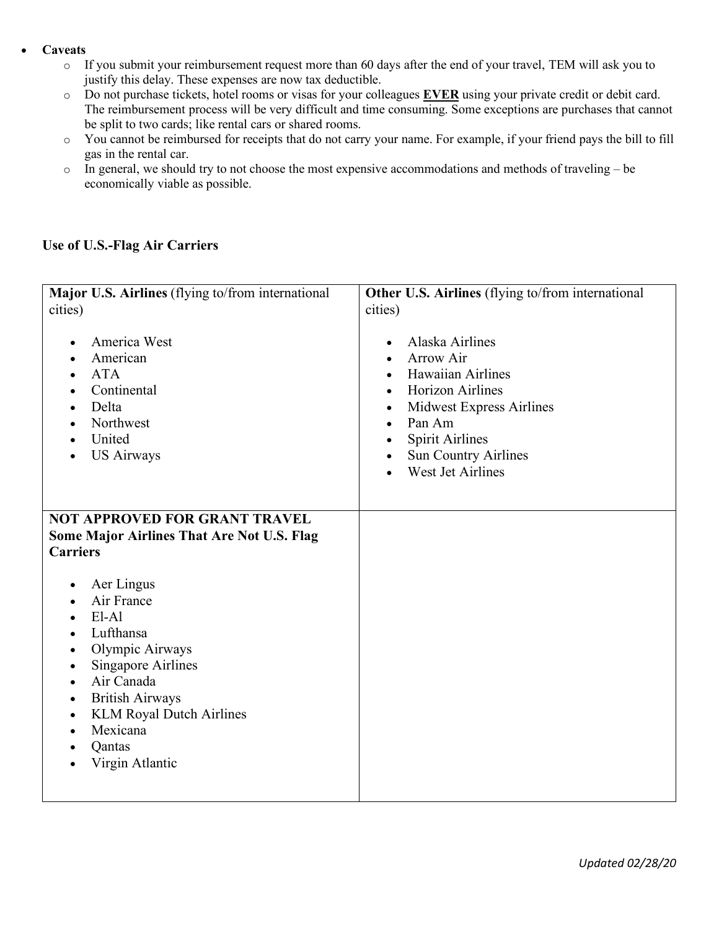#### • **Caveats**

- o If you submit your reimbursement request more than 60 days after the end of your travel, TEM will ask you to justify this delay. These expenses are now tax deductible.
- o Do not purchase tickets, hotel rooms or visas for your colleagues **EVER** using your private credit or debit card. The reimbursement process will be very difficult and time consuming. Some exceptions are purchases that cannot be split to two cards; like rental cars or shared rooms.
- o You cannot be reimbursed for receipts that do not carry your name. For example, if your friend pays the bill to fill gas in the rental car.
- $\circ$  In general, we should try to not choose the most expensive accommodations and methods of traveling be economically viable as possible.

# **Use of U.S.-Flag Air Carriers**

| Major U.S. Airlines (flying to/from international                                                                                                                                                                                                                                                                                                      | Other U.S. Airlines (flying to/from international                                                                                                                                                                                                                                                  |
|--------------------------------------------------------------------------------------------------------------------------------------------------------------------------------------------------------------------------------------------------------------------------------------------------------------------------------------------------------|----------------------------------------------------------------------------------------------------------------------------------------------------------------------------------------------------------------------------------------------------------------------------------------------------|
| cities)                                                                                                                                                                                                                                                                                                                                                | cities)                                                                                                                                                                                                                                                                                            |
| America West<br>$\bullet$<br>American<br><b>ATA</b><br>$\bullet$<br>Continental<br>$\bullet$<br>Delta<br>$\bullet$<br>Northwest<br>$\bullet$<br>United<br>$\bullet$<br><b>US Airways</b>                                                                                                                                                               | Alaska Airlines<br>$\bullet$<br>Arrow Air<br>Hawaiian Airlines<br><b>Horizon Airlines</b><br>$\bullet$<br><b>Midwest Express Airlines</b><br>$\bullet$<br>Pan Am<br>$\bullet$<br><b>Spirit Airlines</b><br>$\bullet$<br><b>Sun Country Airlines</b><br>$\bullet$<br>West Jet Airlines<br>$\bullet$ |
| <b>NOT APPROVED FOR GRANT TRAVEL</b>                                                                                                                                                                                                                                                                                                                   |                                                                                                                                                                                                                                                                                                    |
| <b>Some Major Airlines That Are Not U.S. Flag</b>                                                                                                                                                                                                                                                                                                      |                                                                                                                                                                                                                                                                                                    |
| <b>Carriers</b>                                                                                                                                                                                                                                                                                                                                        |                                                                                                                                                                                                                                                                                                    |
| Aer Lingus<br>$\bullet$<br>Air France<br>$\bullet$<br>$E1-A1$<br>$\bullet$<br>Lufthansa<br>$\bullet$<br>Olympic Airways<br>$\bullet$<br><b>Singapore Airlines</b><br>$\bullet$<br>Air Canada<br>$\bullet$<br><b>British Airways</b><br>$\bullet$<br><b>KLM Royal Dutch Airlines</b><br>$\bullet$<br>Mexicana<br>$\bullet$<br>Qantas<br>Virgin Atlantic |                                                                                                                                                                                                                                                                                                    |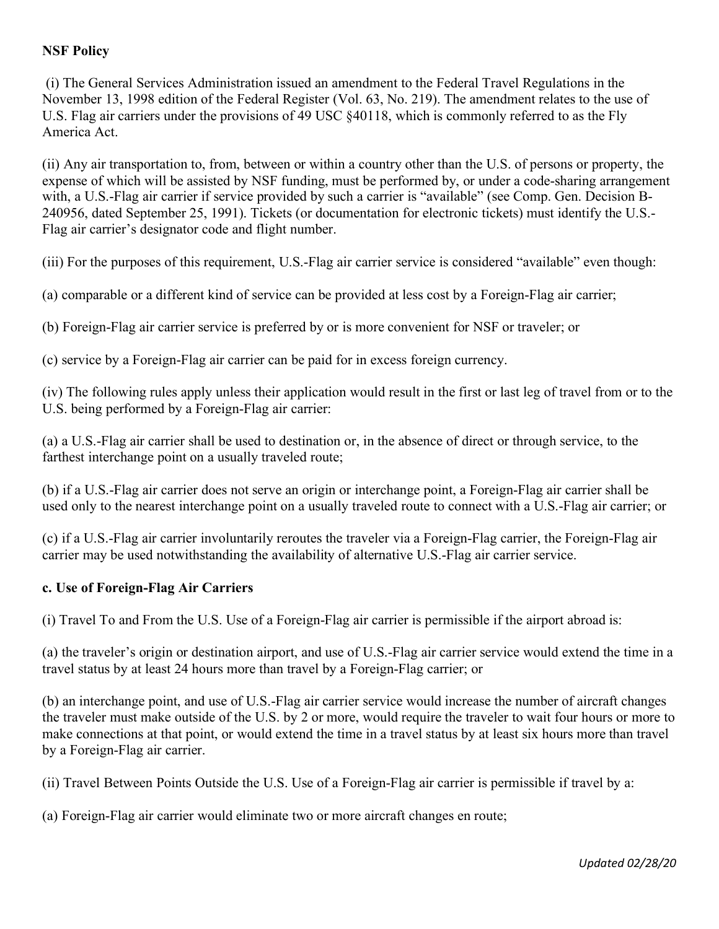# **NSF Policy**

(i) The General Services Administration issued an amendment to the Federal Travel Regulations in the November 13, 1998 edition of the Federal Register (Vol. 63, No. 219). The amendment relates to the use of U.S. Flag air carriers under the provisions of 49 USC §40118, which is commonly referred to as the Fly America Act.

(ii) Any air transportation to, from, between or within a country other than the U.S. of persons or property, the expense of which will be assisted by NSF funding, must be performed by, or under a code-sharing arrangement with, a U.S.-Flag air carrier if service provided by such a carrier is "available" (see Comp. Gen. Decision B-240956, dated September 25, 1991). Tickets (or documentation for electronic tickets) must identify the U.S.- Flag air carrier's designator code and flight number.

(iii) For the purposes of this requirement, U.S.-Flag air carrier service is considered "available" even though:

(a) comparable or a different kind of service can be provided at less cost by a Foreign-Flag air carrier;

(b) Foreign-Flag air carrier service is preferred by or is more convenient for NSF or traveler; or

(c) service by a Foreign-Flag air carrier can be paid for in excess foreign currency.

(iv) The following rules apply unless their application would result in the first or last leg of travel from or to the U.S. being performed by a Foreign-Flag air carrier:

(a) a U.S.-Flag air carrier shall be used to destination or, in the absence of direct or through service, to the farthest interchange point on a usually traveled route;

(b) if a U.S.-Flag air carrier does not serve an origin or interchange point, a Foreign-Flag air carrier shall be used only to the nearest interchange point on a usually traveled route to connect with a U.S.-Flag air carrier; or

(c) if a U.S.-Flag air carrier involuntarily reroutes the traveler via a Foreign-Flag carrier, the Foreign-Flag air carrier may be used notwithstanding the availability of alternative U.S.-Flag air carrier service.

# **c. Use of Foreign-Flag Air Carriers**

(i) Travel To and From the U.S. Use of a Foreign-Flag air carrier is permissible if the airport abroad is:

(a) the traveler's origin or destination airport, and use of U.S.-Flag air carrier service would extend the time in a travel status by at least 24 hours more than travel by a Foreign-Flag carrier; or

(b) an interchange point, and use of U.S.-Flag air carrier service would increase the number of aircraft changes the traveler must make outside of the U.S. by 2 or more, would require the traveler to wait four hours or more to make connections at that point, or would extend the time in a travel status by at least six hours more than travel by a Foreign-Flag air carrier.

(ii) Travel Between Points Outside the U.S. Use of a Foreign-Flag air carrier is permissible if travel by a:

(a) Foreign-Flag air carrier would eliminate two or more aircraft changes en route;